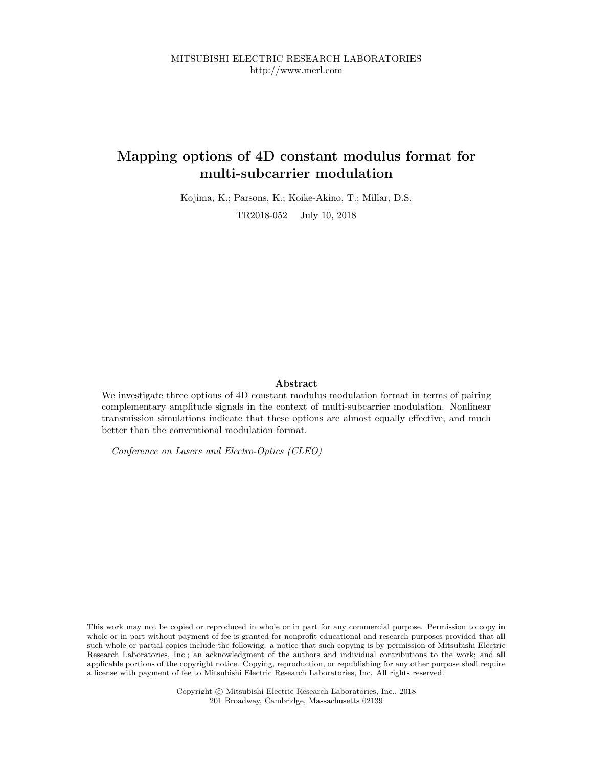MITSUBISHI ELECTRIC RESEARCH LABORATORIES http://www.merl.com

## Mapping options of 4D constant modulus format for multi-subcarrier modulation

Kojima, K.; Parsons, K.; Koike-Akino, T.; Millar, D.S. TR2018-052 July 10, 2018

### Abstract

We investigate three options of 4D constant modulus modulation format in terms of pairing complementary amplitude signals in the context of multi-subcarrier modulation. Nonlinear transmission simulations indicate that these options are almost equally effective, and much better than the conventional modulation format.

Conference on Lasers and Electro-Optics (CLEO)

This work may not be copied or reproduced in whole or in part for any commercial purpose. Permission to copy in whole or in part without payment of fee is granted for nonprofit educational and research purposes provided that all such whole or partial copies include the following: a notice that such copying is by permission of Mitsubishi Electric Research Laboratories, Inc.; an acknowledgment of the authors and individual contributions to the work; and all applicable portions of the copyright notice. Copying, reproduction, or republishing for any other purpose shall require a license with payment of fee to Mitsubishi Electric Research Laboratories, Inc. All rights reserved.

> Copyright © Mitsubishi Electric Research Laboratories, Inc., 2018 201 Broadway, Cambridge, Massachusetts 02139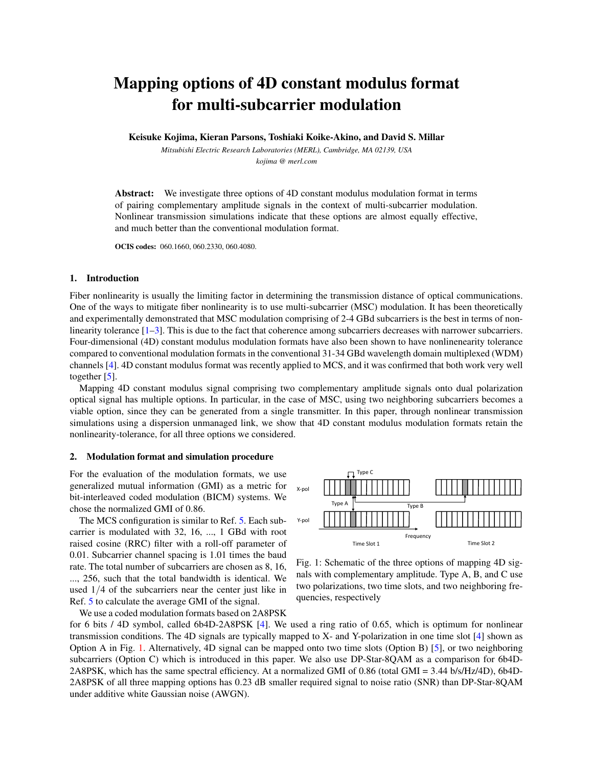# Mapping options of 4D constant modulus format for multi-subcarrier modulation

Keisuke Kojima, Kieran Parsons, Toshiaki Koike-Akino, and David S. Millar

*Mitsubishi Electric Research Laboratories (MERL), Cambridge, MA 02139, USA kojima @ merl.com*

**Abstract:** We investigate three options of 4D constant modulus modulation format in terms of pairing complementary amplitude signals in the context of multi-subcarrier modulation. Nonlinear transmission simulations indicate that these options are almost equally effective, and much better than the conventional modulation format.

OCIS codes: 060.1660, 060.2330, 060.4080.

#### 1. Introduction

Fiber nonlinearity is usually the limiting factor in determining the transmission distance of optical communications. One of the ways to mitigate fiber nonlinearity is to use multi-subcarrier (MSC) modulation. It has been theoretically and experimentally demonstrated that MSC modulation comprising of 2-4 GBd subcarriers is the best in terms of nonlinearity tolerance  $[1-3]$ . This is due to the fact that coherence among subcarriers decreases with narrower subcarriers. Four-dimensional (4D) constant modulus modulation formats have also been shown to have nonlinenearity tolerance compared to conventional modulation formats in the conventional 31-34 GBd wavelength domain multiplexed (WDM) channels [4]. 4D constant modulus format was recently applied to MCS, and it was confirmed that both work very well together [5].

Mapping 4D constant modulus signal comprising two complementary amplitude signals onto dual polarization optical signal has multiple options. In particular, in the case of MSC, using two neighboring subcarriers becomes a viable option, since they can be generated from a single transmitter. In this paper, through nonlinear transmission simulations using a dispersion unmanaged link, we show that 4D constant modulus modulation formats retain the nonlinearity-tolerance, for all three options we considered.

#### 2. Modulation format and simulation procedure

For the evaluation of the modulation formats, we use generalized mutual information (GMI) as a metric for bit-interleaved coded modulation (BICM) systems. We chose the normalized GMI of 0.86.

The MCS configuration is similar to Ref. 5. Each subcarrier is modulated with 32, 16, ..., 1 GBd with root raised cosine (RRC) filter with a roll-off parameter of 0.01. Subcarrier channel spacing is 1.01 times the baud rate. The total number of subcarriers are chosen as 8, 16, ..., 256, such that the total bandwidth is identical. We used 1/4 of the subcarriers near the center just like in Ref. 5 to calculate the average GMI of the signal.

We use a coded modulation formats based on 2A8PSK



Fig. 1: Schematic of the three options of mapping 4D signals with complementary amplitude. Type A, B, and C use two polarizations, two time slots, and two neighboring frequencies, respectively

for 6 bits / 4D symbol, called 6b4D-2A8PSK [4]. We used a ring ratio of 0.65, which is optimum for nonlinear transmission conditions. The 4D signals are typically mapped to X- and Y-polarization in one time slot [4] shown as Option A in Fig. 1. Alternatively, 4D signal can be mapped onto two time slots (Option B) [5], or two neighboring subcarriers (Option C) which is introduced in this paper. We also use DP-Star-8QAM as a comparison for 6b4D-2A8PSK, which has the same spectral efficiency. At a normalized GMI of 0.86 (total GMI = 3.44 b/s/Hz/4D), 6b4D-2A8PSK of all three mapping options has 0.23 dB smaller required signal to noise ratio (SNR) than DP-Star-8QAM under additive white Gaussian noise (AWGN).